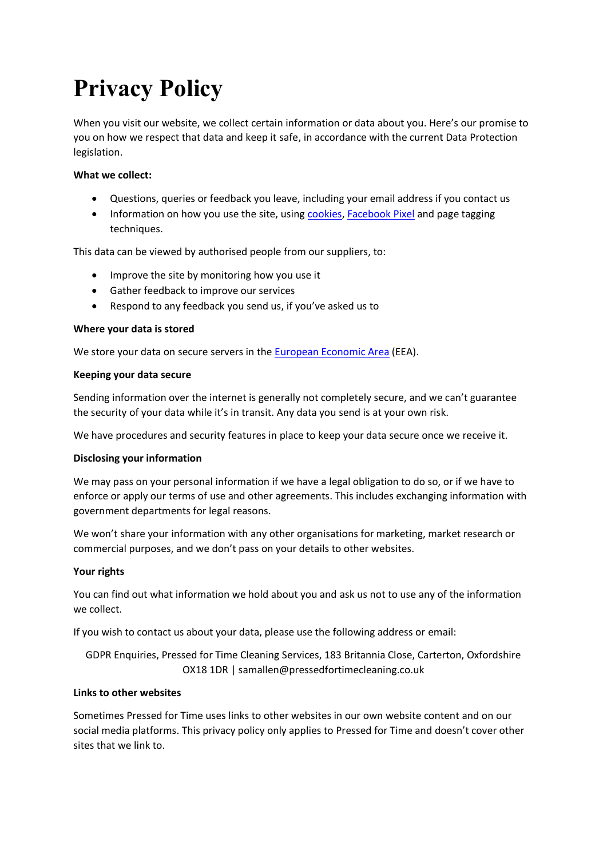# **Privacy Policy**

When you visit our website, we collect certain information or data about you. Here's our promise to you on how we respect that data and keep it safe, in accordance with the current Data Protection legislation.

## **What we collect:**

- Questions, queries or feedback you leave, including your email address if you contact us
- Information on how you use the site, using [cookies,](https://ico.org.uk/for-the-public/online/cookies/) [Facebook Pixel](https://www.facebook.com/business/help/742478679120153?id=1205376682832142) and page tagging techniques.

This data can be viewed by authorised people from our suppliers, to:

- Improve the site by monitoring how you use it
- Gather feedback to improve our services
- Respond to any feedback you send us, if you've asked us to

### **Where your data is stored**

We store your data on secure servers in the European [Economic](https://www.gov.uk/eu-eea) Area (EEA).

#### **Keeping your data secure**

Sending information over the internet is generally not completely secure, and we can't guarantee the security of your data while it's in transit. Any data you send is at your own risk.

We have procedures and security features in place to keep your data secure once we receive it.

### **Disclosing your information**

We may pass on your personal information if we have a legal obligation to do so, or if we have to enforce or apply our terms of use and other agreements. This includes exchanging information with government departments for legal reasons.

We won't share your information with any other organisations for marketing, market research or commercial purposes, and we don't pass on your details to other websites.

### **Your rights**

You can find out what information we hold about you and ask us not to use any of the information we collect.

If you wish to contact us about your data, please use the following address or email:

GDPR Enquiries, Pressed for Time Cleaning Services, 183 Britannia Close, Carterton, Oxfordshire OX18 1DR | samallen@pressedfortimecleaning.co.uk

#### **Links to other websites**

Sometimes Pressed for Time uses links to other websites in our own website content and on our social media platforms. This privacy policy only applies to Pressed for Time and doesn't cover other sites that we link to.